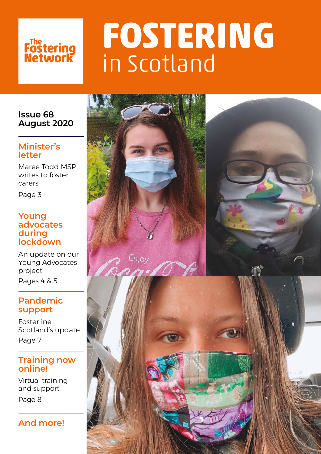# Fostering<br>Network

# **FOSTERING**  in Scotland

## **Issue 68 August 2020**

## **Minister's letter**

Maree Todd MSP writes to foster carers

Page 3

## **Young advocates during lockdown**

An update on our Young Advocates project Pages 4 & 5

## **Pandemic support**

Fosterline Scotland's update Page 7

## **Training now online!**

Virtual training and support

Page 8



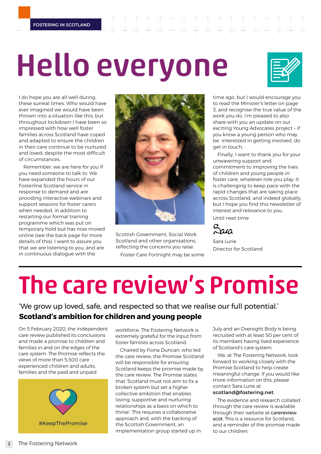$+ + + + + + + + +$ 

# Hello everyone

I do hope you are all well during these surreal times. Who would have ever imagined we would have been thrown into a situation like this, but throughout lockdown I have been so impressed with how well foster families across Scotland have coped and adapted to ensure the children in their care continue to be nurtured and loved, despite the most difficult of circumstances.

Remember, we are here for you if you need someone to talk to. We have expanded the hours of our Fosterline Scotland service in response to demand and are providing interactive webinars and support sessions for foster carers when needed, in addition to restarting our formal training programme which was put on temporary hold but has now moved online (see the back page for more details of this). I want to assure you that we are listening to you, and are in continuous dialogue with the



Scottish Government, Social Work Scotland and other organisations. reflecting the concerns you raise.

Foster Care Fortnight may be some

time ago, but I would encourage you to read the Minister's letter on page 3, and recognise the true value of the work you do. I'm pleased to also share with you an update on our exciting Young Advocates project – if you know a young person who may be interested in getting involved, do get in touch.

Finally, I want to thank you for your unwavering support and commitment to improving the lives of children and young people in foster care, whatever role you play. It is challenging to keep pace with the rapid changes that are taking place across Scotland, and indeed globally, but I hope you find this newsletter of interest and relevance to you.

Until next time



Sara Lurie Director for Scotland

# The care review's Promise

'We grow up loved, safe, and respected so that we realise our full potential.' **Scotland's ambition for children and young people**

On 5 February 2020, the independent care review published its conclusions and made a promise to children and families in and on the edges of the care system. The Promise reflects the views of more than 5,500 care experienced children and adults, families and the paid and unpaid



workforce. The Fostering Network is extremely grateful for the input from foster families across Scotland.

Chaired by Fiona Duncan, who led the care review, the Promise Scotland will be responsible for ensuring Scotland keeps the promise made by the care review. The Promise states that 'Scotland must not aim to fix a broken system but set a higher collective ambition that enables loving, supportive and nurturing relationships as a basis on which to thrive'. This requires a collaborative approach and, with the backing of the Scottish Government, an implementation group started up in

July and an Oversight Body is being recruited with at least 50 per cent of its members having lived experience of Scotland's care system.

We, at The Fostering Network, look forward to working closely with the Promise Scotland to help create meaningful change. If you would like more information on this, please contact Sara Lurie at

### **[scotland@fostering.net](http://scotland@fostering.net)**.

The evidence and research collated through the care review is available through their website at [carereview.](http://carereview.scot.) [scot.](http://carereview.scot.) This is a resource for Scotland. and a reminder of the promise made to our children.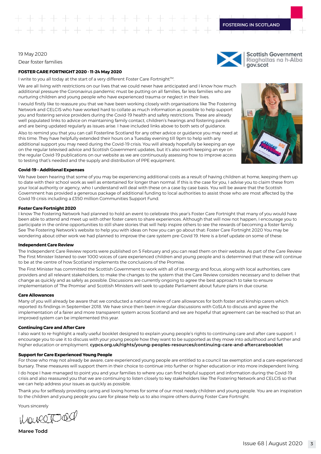gov.scot

#### 19 May 2020

Dear foster families

#### **FOSTER CARE FORTNIGHT 2020 - 11-24 May 2020**

I write to you all today at the start of a very different Foster Care Fortnight™.

We are all living with restrictions on our lives that we could never have anticipated and I know how much additional pressure the Coronavirus pandemic must be putting on all families, far less families who are nurturing children and young people who have experienced trauma or neglect in their lives.

I would firstly like to reassure you that we have been working closely with organisations like The Fostering Network and CELCIS who have worked hard to collate as much information as possible to help support you and fostering service providers during the Covid-19 health and safety restrictions. These are already well populated links to advice on maintaining family contact, children's hearings and fostering panels and are being updated regularly as issues arise. I have included links above to both sets of guidance.

Also to remind you that you can call Fosterline Scotland for any other advice or guidance you may need at this time. They have helpfully extended their hours on a Tuesday evening till 9pm to help with any additional support you may need during the Covid-19 crisis. You will already hopefully be keeping an eye on the regular televised advice and Scottish Government updates, but it's also worth keeping an eye on the regular Covid-19 publications on our website as we are continuously assessing how to improve access to testing that's needed and the supply and distribution of PPE equipment.



**Scottish Government** Riaghaltas na h-Alba

#### **Covid-19 – Additional Expenses**

We have been hearing that some of you may be experiencing additional costs as a result of having children at home, keeping them up to date with their school work as well as entertained for longer than normal. If this is the case for you, I advise you to claim these from your local authority or agency, who I understand will deal with these on a case by case basis. You will be aware that the Scottish Government has provided a generous package of additional funding to local authorities to assist those who are most affected by the Covid 19 crisis including a £350 million Communities Support Fund.

#### **Foster Care Fortnight 2020**

I know The Fostering Network had planned to hold an event to celebrate this year's Foster Care Fortnight that many of you would have been able to attend and meet up with other foster carers to share experiences. Although that will now not happen, I encourage you to participate in the online opportunities to still share stories that will help inspire others to see the rewards of becoming a foster family. See The Fostering Network's website to help you with ideas on how you can go about that: Foster Care Fortnight 2020 You may be wondering about other work we had planned to improve the care system pre-Covid 19. Here is a brief update on some of these:

#### **Independent Care Review**

The Independent Care Review reports were published on 5 February and you can read them on their website. As part of the Care Review The First Minister listened to over 1000 voices of care experienced children and young people and is determined that these will continue to be at the centre of how Scotland implements the conclusions of the Promise.

The First Minister has committed the Scottish Government to work with all of its energy and focus, along with local authorities, care providers and all relevant stakeholders, to make the changes to the system that the Care Review considers necessary and to deliver that change as quickly and as safely as possible. Discussions are currently ongoing to agree the best approach to take to ensure implementation of 'The Promise' and Scottish Ministers will seek to update Parliament about future plans in due course.

#### **Care Allowances**

Many of you will already be aware that we conducted a national review of care allowances for both foster and kinship carers which reported its findings in September 2018. We have since then been in regular discussions with CoSLA to discuss and agree the implementation of a fairer and more transparent system across Scotland and we are hopeful that agreement can be reached so that an improved system can be implemented this year.

#### **Continuing Care and After Care**

I also want to re-highlight a really useful booklet designed to explain young people's rights to continuing care and after care support. I encourage you to use it to discuss with your young people how they want to be supported as they move into adulthood and further and higher education or employment. **[cypcs.org.uk/rights/young-peoples-resources/continuing-care-and-aftercarebooklet](https://cypcs.org.uk/rights/young-peoples-resources/continuing-care-and-aftercarebooklet)**

#### **Support for Care Experienced Young People**

For those who may not already be aware, care experienced young people are entitled to a council tax exemption and a care-experienced bursary. These measures will support them in their choice to continue into further or higher education or into more independent living. I do hope I have managed to point you and your families to where you can find helpful support and information during the Covid-19 crisis and also reassured you that we are continuing to listen closely to key stakeholders like The Fostering Network and CELCIS so that we can help address your issues as quickly as possible.

Thank you for selflessly providing caring and loving homes for some of our most needy children and young people. You are an inspiration to the children and young people you care for please help us to also inspire others during Foster Care Fortnight.

Yours sincerely

haveetood

**Maree Todd**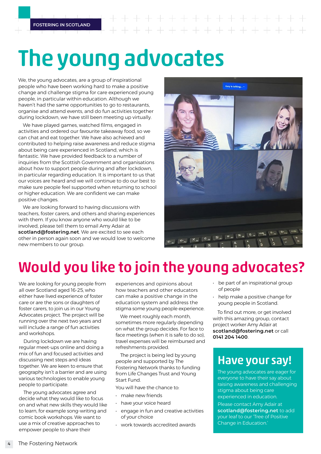# The young advocates

We, the young advocates, are a group of inspirational people who have been working hard to make a positive change and challenge stigma for care experienced young people, in particular within education. Although we haven't had the same opportunities to go to restaurants, organise and attend events, and do fun activities together during lockdown, we have still been meeting up virtually.

We have played games, watched films, engaged in activities and ordered our favourite takeaway food, so we can chat and eat together. We have also achieved and contributed to helping raise awareness and reduce stigma about being care experienced in Scotland, which is fantastic. We have provided feedback to a number of inquiries from the Scottish Government and organisations about how to support people during and after lockdown, in particular regarding education. It is important to us that our voices are heard and we will continue to do our best to make sure people feel supported when returning to school or higher education. We are confident we can make positive changes.

We are looking forward to having discussions with teachers, foster carers, and others and sharing experiences with them. If you know anyone who would like to be involved, please tell them to email Amy Adair at **[scotland@fostering.net](http://scotland@fostering.net)**. We are excited to see each other in person again soon and we would love to welcome new members to our group.



## Would you like to join the young advocates?

We are looking for young people from all over Scotland aged 16-25, who either have lived experience of foster care or are the sons or daughters of foster carers, to join us in our Young Advocates project. The project will be running over the next two years and will include a range of fun activities and workshops.

During lockdown we are having regular meet-ups online and doing a mix of fun and focused activities and discussing next steps and ideas together. We are keen to ensure that geography isn't a barrier and are using various technologies to enable young people to participate.

The young advocates agree and decide what they would like to focus on and what new skills they would like to learn, for example song-writing and comic book workshops. We want to use a mix of creative approaches to empower people to share their

experiences and opinions about how teachers and other educators can make a positive change in the education system and address the stigma some young people experience.

We meet roughly each month. sometimes more regularly depending on what the group decides. For face to face meetings (when it is safe to do so), travel expenses will be reimbursed and refreshments provided.

The project is being led by young people and supported by The Fostering Network thanks to funding from Life Changes Trust and Young Start Fund.

You will have the chance to:

- make new friends
- have your voice heard
- engage in fun and creative activities of your choice
- work towards accredited awards
- be part of an inspirational group of people
- help make a positive change for young people in Scotland.

To find out more, or get involved with this amazing group, contact project worker Amy Adair at **[scotland@fostering.net](http://scotland@fostering.net)** or call **0141 204 1400**.

## Have your say!

The young advocates are eager for everyone to have their say about raising awareness and challenging stigma about being care experienced in education.

Please contact Amy Adair at **[scotland@fostering.net](http://scotland@fostering.net)** to add your leaf to our 'Tree of Positive Change in Education.'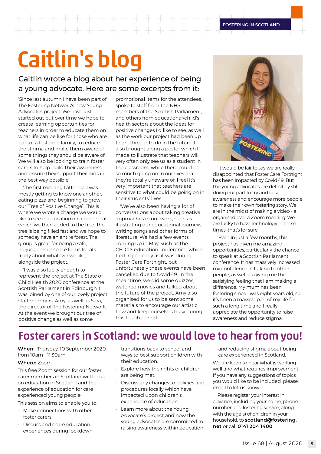# Caitlin's blog

## Caitlin wrote a blog about her experience of being a young advocate. Here are some excerpts from it:

'Since last autumn I have been part of The Fostering Network's new Young Advocates project. We have just started out but over time we hope to create learning opportunities for teachers in order to educate them on what life can be like for those who are part of a fostering family, to reduce the stigma and make them aware of some things they should be aware of. We will also be looking to train foster carers to help build their awareness and ensure they support their kids in the best way possible.

'The first meeting I attended was mostly getting to know one another, eating pizza and beginning to grow our "Tree of Positive Change". This is where we wrote a change we would like to see in education on a paper leaf which we then added to the tree. The tree is being filled fast and we hope to someday have an entire forest. The group is great for being a safe, no-judgement space for us to talk freely about whatever we like, alongside the project.

'I was also lucky enough to represent the project at The State of Child Health 2020 conference at the Scottish Parliament in Edinburgh. I was joined by one of our lovely project staff members, Amy, as well as Sara, the director of The Fostering Network. At the event we brought our tree of positive change as well as some

promotional items for the attendees. I spoke to staff from the NHS, members of the Scottish Parliament, and others from educational/child's health sectors about the ideas for positive changes I'd like to see, as well as the work our project had been up to and hoped to do in the future. I also brought along a poster which I made to illustrate that teachers will very often only see us as a student in the classroom, while there could be so much going on in our lives that they're totally unaware of. I feel it's very important that teachers are sensitive to what could be going on in their students' lives.

'We've also been having a lot of conversations about taking creative approaches in our work, such as illustrating our educational journeys, writing songs and other forms of literature. We had a few events coming up in May, such as the CELCIS education conference, which tied in perfectly as it was during Foster Care Fortnight, but unfortunately these events have been cancelled due to Covid-19. In the meantime, we did some quizzes, watched movies and talked about the future of the project. Amy also organised for us to be sent some materials to encourage our artistic flow and keep ourselves busy during this tough period.



'It would be fair to say we are really disappointed that Foster Care Fortnight has been impacted by Covid-19. But the young advocates are definitely still doing our part to try and raise awareness and encourage more people to make their own fostering story. We are in the midst of making a video - all organised over a Zoom meeting! We are lucky to have technology in these times, that's for sure.

'Even in just a few months, this project has given me amazing opportunities, particularly the chance to speak at a Scottish Parliament conference. It has massively increased my confidence in talking to other people, as well as giving me the satisfying feeling that I am making a difference. My mum has been fostering since I was eight years old, so it's been a massive part of my life for such a long time and I really appreciate the opportunity to raise awareness and reduce stigma.'

## Foster carers in Scotland: we would love to hear from you!

**When:** Thursday, 10 September 2020 from 10am – 11.30am

### **Where:** Zoom

This free Zoom session for our foster carer members in Scotland will focus on education in Scotland and the experience of education for care experienced young people.

This session aims to enable you to:

- Make connections with other foster carers.
- Discuss and share education experiences during lockdown,

transitions back to school and ways to best support children with their education.

- Explore how the rights of children are being met.
- Discuss any changes to policies and procedures locally which have impacted upon children's experience of education.
- Learn more about the Young Advocate's project and how the young advocates are committed to raising awareness within education

and reducing stigma about being care experienced in Scotland.

We are keen to hear what is working well and what requires improvement. If you have any suggestions of topics you would like to be included, please email to let us know.

Please register your interest in advance, including your name, phone number and fostering service, along with the age(s) of children in your household, to **[scotland@fostering.](http://scotland@fostering.net) [net](http://scotland@fostering.net)** or call **0141 204 1400**.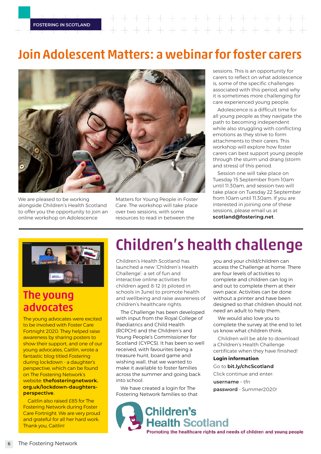## $+ + + + + + + + +$

## Join Adolescent Matters: a webinar for foster carers



We are pleased to be working alongside Children's Health Scotland to offer you the opportunity to join an online workshop on Adolescence

Matters for Young People in Foster Care. The workshop will take place over two sessions, with some resources to read in between the

sessions. This is an opportunity for carers to reflect on what adolescence is, some of the specific challenges associated with this period, and why it is sometimes more challenging for care experienced young people.

Adolescence is a difficult time for all young people as they navigate the path to becoming independent while also struggling with conflicting emotions as they strive to form attachments to their carers. This workshop will explore how foster carers can best support young people through the sturm und drang (storm and stress) of this period.

Session one will take place on Tuesday 15 September from 10am until 11.30am, and session two will take place on Tuesday 22 September from 10am until 11.30am. If you are interested in joining one of these sessions, please email us at **[scotland@fostering.net](http://scotland@fostering.net)**.



## The young advocates

The young advocates were excited to be involved with Foster Care Fortnight 2020. They helped raise awareness by sharing posters to show their support, and one of our young advocates, Caitlin, wrote a fantastic blog titled Fostering during lockdown - a daughter's perspective, which can be found on The Fostering Network's website: **[thefosteringnetwork.](https://www.thefosteringnetwork.org.uk/blogs/danielsinclairtfn/fostering-during-lockdown-daughters-perspective) [org.uk/lockdown-daughters](https://www.thefosteringnetwork.org.uk/blogs/danielsinclairtfn/fostering-during-lockdown-daughters-perspective)[perspective](https://www.thefosteringnetwork.org.uk/blogs/danielsinclairtfn/fostering-during-lockdown-daughters-perspective)**.

Caitlin also raised £85 for The Fostering Network during Foster Care Fortnight. We are very proud and grateful for all her hard work. Thank you, Caitlin!

## Children's health challenge

Children's Health Scotland has launched a new 'Children's Health Challenge': a set of fun and interactive online activities for children aged 8-12 (it piloted in schools in June) to promote health and wellbeing and raise awareness of children's healthcare rights.

The Challenge has been developed with input from the Royal College of Paediatrics and Child Health (RCPCH) and the Children's and Young People's Commissioner for Scotland (CYPCS). It has been so well received, with favourites being a treasure hunt, board game and wishing wall, that we wanted to make it available to foster families across the summer and going back into school.

We have created a login for The Fostering Network families so that complete and children can log in and out to complete them at their own pace. Activities can be done without a printer and have been designed so that children should not need an adult to help them. We would also love you to complete the survey at the end to let

you and your child/children can access the Challenge at home. There

are four levels of activities to

us know what children think. Children will be able to download a Children's Health Challenge certificate when they have finished!

## **Login information**:

Go to **[bit.ly/chcScotland](http://bit.ly/chcScotland)**

Click continue and enter:

**username** – tfn

**password** - Summer2020!

**Children's Health Scotland** Promoting the healthcare rights and needs of children and young people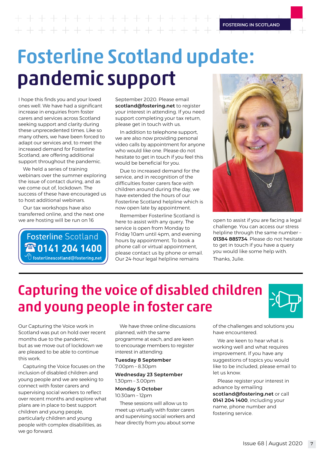+ + + + + + + + + + + - + + + + + + + + + + + +

## Fosterline Scotland update: pandemic support

I hope this finds you and your loved ones well. We have had a significant increase in enquiries from foster carers and services across Scotland seeking support and clarity during these unprecedented times. Like so many others, we have been forced to adapt our services and, to meet the increased demand for Fosterline Scotland, are offering additional support throughout the pandemic.

We held a series of training webinars over the summer exploring the issue of contact during, and as we come out of, lockdown. The success of these have encouraged us to host additional webinars.

Our tax workshops have also transferred online, and the next one we are hosting will be run on 16

**Fosterline Scotland** 280141 204 1400 fosterlinescotland@fostering.net September 2020. Please email **scotland@fostering.net** to register your interest in attending. If you need support completing your tax return, please get in touch with us.

In addition to telephone support, we are also now providing personal video calls by appointment for anyone who would like one. Please do not hesitate to get in touch if you feel this would be beneficial for you.

Due to increased demand for the service, and in recognition of the difficulties foster carers face with children around during the day, we have extended the hours of our Fosterline Scotland helpline which is now open late by appointment.

Remember Fosterline Scotland is here to assist with any query. The service is open from Monday to Friday 10am until 4pm, and evening hours by appointment. To book a phone call or virtual appointment, please contact us by phone or email. Our 24-hour legal helpline remains



open to assist if you are facing a legal challenge. You can access our stress helpline through the same number – **01384 885734**. Please do not hesitate to get in touch if you have a query you would like some help with. Thanks, Julie.

## Capturing the voice of disabled children and young people in foster care



Our Capturing the Voice work in Scotland was put on hold over recent months due to the pandemic, but as we move out of lockdown we are pleased to be able to continue this work.

Capturing the Voice focuses on the inclusion of disabled children and young people and we are seeking to connect with foster carers and supervising social workers to reflect over recent months and explore what plans are in place to best support children and young people, particularly children and young people with complex disabilities, as we go forward.

We have three online discussions planned, with the same programme at each, and are keen to encourage members to register interest in attending:

### **Tuesday 8 September**  7.00pm – 8.30pm

### **Wednesday 23 September** 1.30pm – 3.00pm

**Monday 5 October**  10.30am – 12pm

These sessions will allow us to meet up virtually with foster carers and supervising social workers and hear directly from you about some

of the challenges and solutions you have encountered.

We are keen to hear what is working well and what requires improvement. If you have any suggestions of topics you would like to be included, please email to let us know.

Please register your interest in advance by emailing **[scotland@fostering.net](http://scotland@fostering.net)** or call **0141 204 1400**, including your name, phone number and fostering service.